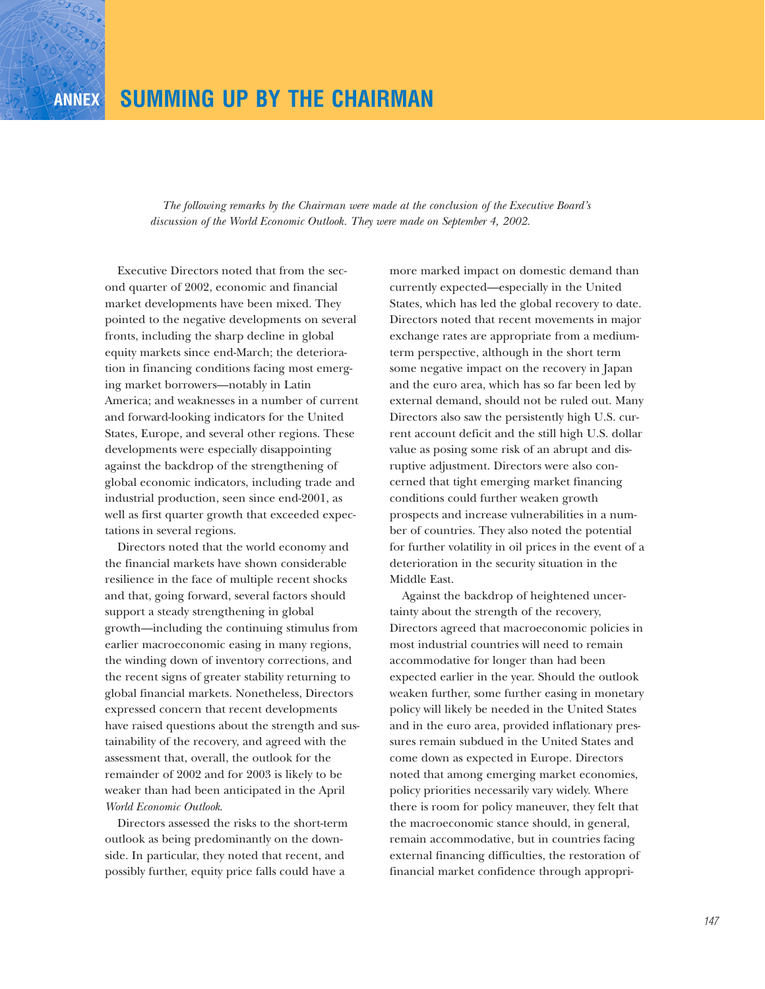*The following remarks by the Chairman were made at the conclusion of the Executive Board's discussion of the World Economic Outlook. They were made on September 4, 2002.*

Executive Directors noted that from the second quarter of 2002, economic and financial market developments have been mixed. They pointed to the negative developments on several fronts, including the sharp decline in global equity markets since end-March; the deterioration in financing conditions facing most emerging market borrowers—notably in Latin America; and weaknesses in a number of current and forward-looking indicators for the United States, Europe, and several other regions. These developments were especially disappointing against the backdrop of the strengthening of global economic indicators, including trade and industrial production, seen since end-2001, as well as first quarter growth that exceeded expectations in several regions.

Directors noted that the world economy and the financial markets have shown considerable resilience in the face of multiple recent shocks and that, going forward, several factors should support a steady strengthening in global growth—including the continuing stimulus from earlier macroeconomic easing in many regions, the winding down of inventory corrections, and the recent signs of greater stability returning to global financial markets. Nonetheless, Directors expressed concern that recent developments have raised questions about the strength and sustainability of the recovery, and agreed with the assessment that, overall, the outlook for the remainder of 2002 and for 2003 is likely to be weaker than had been anticipated in the April *World Economic Outlook*.

Directors assessed the risks to the short-term outlook as being predominantly on the downside. In particular, they noted that recent, and possibly further, equity price falls could have a

more marked impact on domestic demand than currently expected—especially in the United States, which has led the global recovery to date. Directors noted that recent movements in major exchange rates are appropriate from a mediumterm perspective, although in the short term some negative impact on the recovery in Japan and the euro area, which has so far been led by external demand, should not be ruled out. Many Directors also saw the persistently high U.S. current account deficit and the still high U.S. dollar value as posing some risk of an abrupt and disruptive adjustment. Directors were also concerned that tight emerging market financing conditions could further weaken growth prospects and increase vulnerabilities in a number of countries. They also noted the potential for further volatility in oil prices in the event of a deterioration in the security situation in the Middle East.

Against the backdrop of heightened uncertainty about the strength of the recovery, Directors agreed that macroeconomic policies in most industrial countries will need to remain accommodative for longer than had been expected earlier in the year. Should the outlook weaken further, some further easing in monetary policy will likely be needed in the United States and in the euro area, provided inflationary pressures remain subdued in the United States and come down as expected in Europe. Directors noted that among emerging market economies, policy priorities necessarily vary widely. Where there is room for policy maneuver, they felt that the macroeconomic stance should, in general, remain accommodative, but in countries facing external financing difficulties, the restoration of financial market confidence through appropri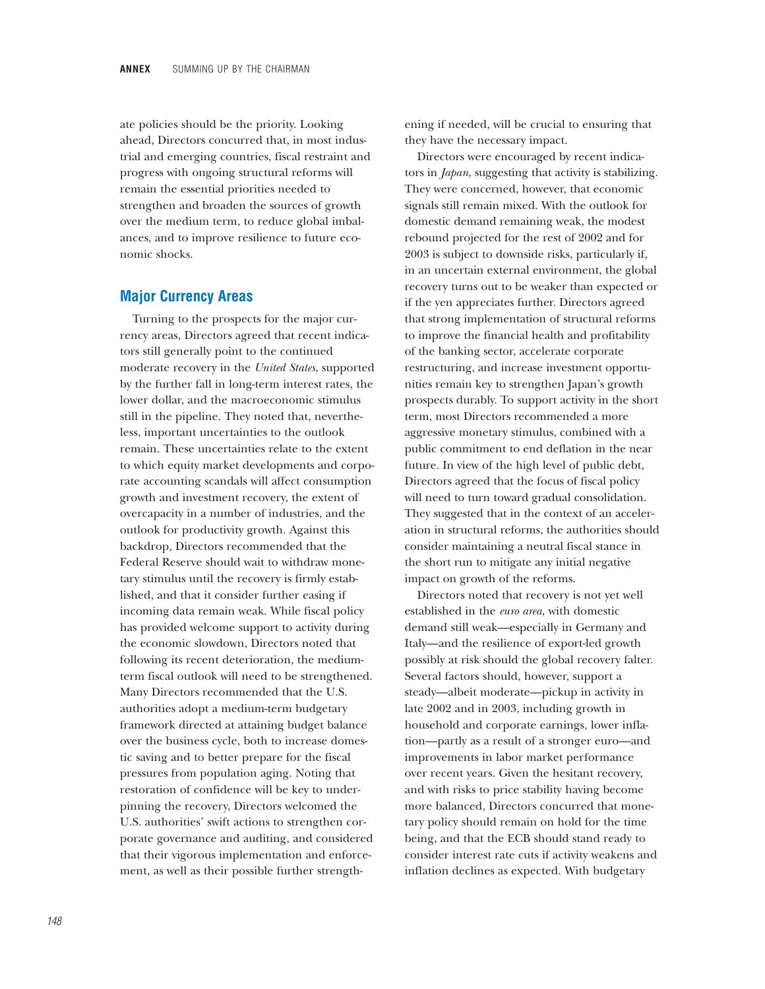ate policies should be the priority. Looking ahead, Directors concurred that, in most industrial and emerging countries, fiscal restraint and progress with ongoing structural reforms will remain the essential priorities needed to strengthen and broaden the sources of growth over the medium term, to reduce global imbalances, and to improve resilience to future economic shocks.

#### **Major Currency Areas**

Turning to the prospects for the major currency areas, Directors agreed that recent indicators still generally point to the continued moderate recovery in the *United States*, supported by the further fall in long-term interest rates, the lower dollar, and the macroeconomic stimulus still in the pipeline. They noted that, nevertheless, important uncertainties to the outlook remain. These uncertainties relate to the extent to which equity market developments and corporate accounting scandals will affect consumption growth and investment recovery, the extent of overcapacity in a number of industries, and the outlook for productivity growth. Against this backdrop, Directors recommended that the Federal Reserve should wait to withdraw monetary stimulus until the recovery is firmly established, and that it consider further easing if incoming data remain weak. While fiscal policy has provided welcome support to activity during the economic slowdown, Directors noted that following its recent deterioration, the mediumterm fiscal outlook will need to be strengthened. Many Directors recommended that the U.S. authorities adopt a medium-term budgetary framework directed at attaining budget balance over the business cycle, both to increase domestic saving and to better prepare for the fiscal pressures from population aging. Noting that restoration of confidence will be key to underpinning the recovery, Directors welcomed the U.S. authorities' swift actions to strengthen corporate governance and auditing, and considered that their vigorous implementation and enforcement, as well as their possible further strengthening if needed, will be crucial to ensuring that they have the necessary impact.

Directors were encouraged by recent indicators in *Japan*, suggesting that activity is stabilizing. They were concerned, however, that economic signals still remain mixed. With the outlook for domestic demand remaining weak, the modest rebound projected for the rest of 2002 and for 2003 is subject to downside risks, particularly if, in an uncertain external environment, the global recovery turns out to be weaker than expected or if the yen appreciates further. Directors agreed that strong implementation of structural reforms to improve the financial health and profitability of the banking sector, accelerate corporate restructuring, and increase investment opportunities remain key to strengthen Japan's growth prospects durably. To support activity in the short term, most Directors recommended a more aggressive monetary stimulus, combined with a public commitment to end deflation in the near future. In view of the high level of public debt, Directors agreed that the focus of fiscal policy will need to turn toward gradual consolidation. They suggested that in the context of an acceleration in structural reforms, the authorities should consider maintaining a neutral fiscal stance in the short run to mitigate any initial negative impact on growth of the reforms.

Directors noted that recovery is not yet well established in the *euro area*, with domestic demand still weak—especially in Germany and Italy—and the resilience of export-led growth possibly at risk should the global recovery falter. Several factors should, however, support a steady—albeit moderate—pickup in activity in late 2002 and in 2003, including growth in household and corporate earnings, lower inflation—partly as a result of a stronger euro—and improvements in labor market performance over recent years. Given the hesitant recovery, and with risks to price stability having become more balanced, Directors concurred that monetary policy should remain on hold for the time being, and that the ECB should stand ready to consider interest rate cuts if activity weakens and inflation declines as expected. With budgetary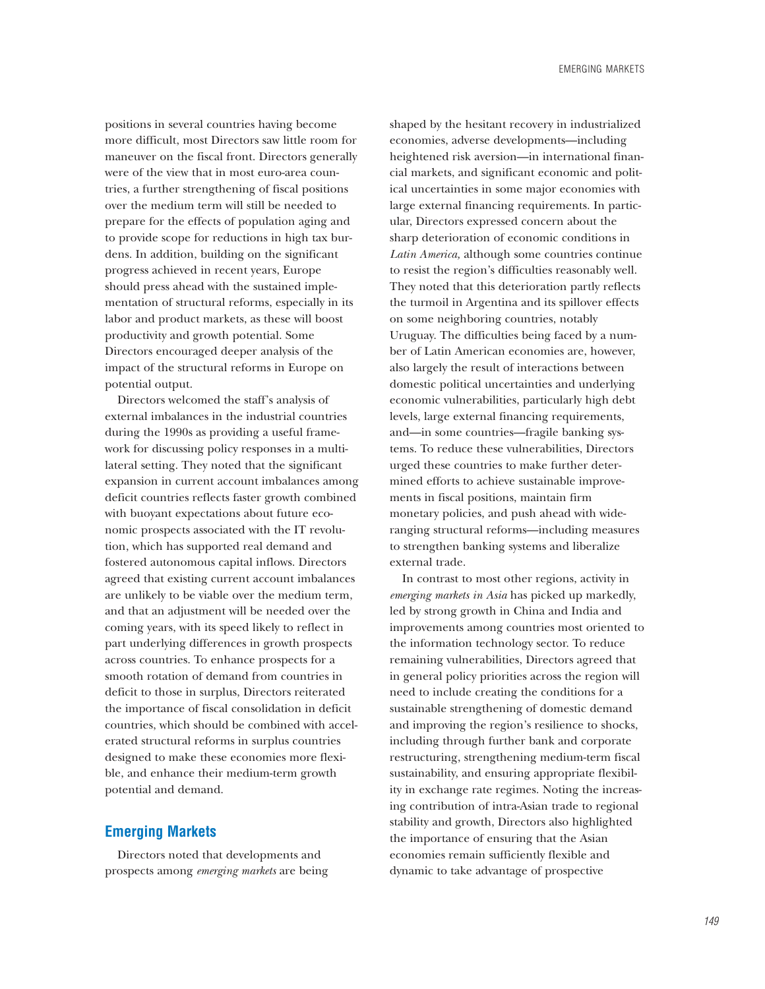positions in several countries having become more difficult, most Directors saw little room for maneuver on the fiscal front. Directors generally were of the view that in most euro-area countries, a further strengthening of fiscal positions over the medium term will still be needed to prepare for the effects of population aging and to provide scope for reductions in high tax burdens. In addition, building on the significant progress achieved in recent years, Europe should press ahead with the sustained implementation of structural reforms, especially in its labor and product markets, as these will boost productivity and growth potential. Some Directors encouraged deeper analysis of the impact of the structural reforms in Europe on potential output.

Directors welcomed the staff's analysis of external imbalances in the industrial countries during the 1990s as providing a useful framework for discussing policy responses in a multilateral setting. They noted that the significant expansion in current account imbalances among deficit countries reflects faster growth combined with buoyant expectations about future economic prospects associated with the IT revolution, which has supported real demand and fostered autonomous capital inflows. Directors agreed that existing current account imbalances are unlikely to be viable over the medium term, and that an adjustment will be needed over the coming years, with its speed likely to reflect in part underlying differences in growth prospects across countries. To enhance prospects for a smooth rotation of demand from countries in deficit to those in surplus, Directors reiterated the importance of fiscal consolidation in deficit countries, which should be combined with accelerated structural reforms in surplus countries designed to make these economies more flexible, and enhance their medium-term growth potential and demand.

### **Emerging Markets**

Directors noted that developments and prospects among *emerging markets* are being shaped by the hesitant recovery in industrialized economies, adverse developments—including heightened risk aversion—in international financial markets, and significant economic and political uncertainties in some major economies with large external financing requirements. In particular, Directors expressed concern about the sharp deterioration of economic conditions in *Latin America,* although some countries continue to resist the region's difficulties reasonably well. They noted that this deterioration partly reflects the turmoil in Argentina and its spillover effects on some neighboring countries, notably Uruguay. The difficulties being faced by a number of Latin American economies are, however, also largely the result of interactions between domestic political uncertainties and underlying economic vulnerabilities, particularly high debt levels, large external financing requirements, and—in some countries—fragile banking systems. To reduce these vulnerabilities, Directors urged these countries to make further determined efforts to achieve sustainable improvements in fiscal positions, maintain firm monetary policies, and push ahead with wideranging structural reforms—including measures to strengthen banking systems and liberalize external trade.

In contrast to most other regions, activity in *emerging markets in Asia* has picked up markedly, led by strong growth in China and India and improvements among countries most oriented to the information technology sector. To reduce remaining vulnerabilities, Directors agreed that in general policy priorities across the region will need to include creating the conditions for a sustainable strengthening of domestic demand and improving the region's resilience to shocks, including through further bank and corporate restructuring, strengthening medium-term fiscal sustainability, and ensuring appropriate flexibility in exchange rate regimes. Noting the increasing contribution of intra-Asian trade to regional stability and growth, Directors also highlighted the importance of ensuring that the Asian economies remain sufficiently flexible and dynamic to take advantage of prospective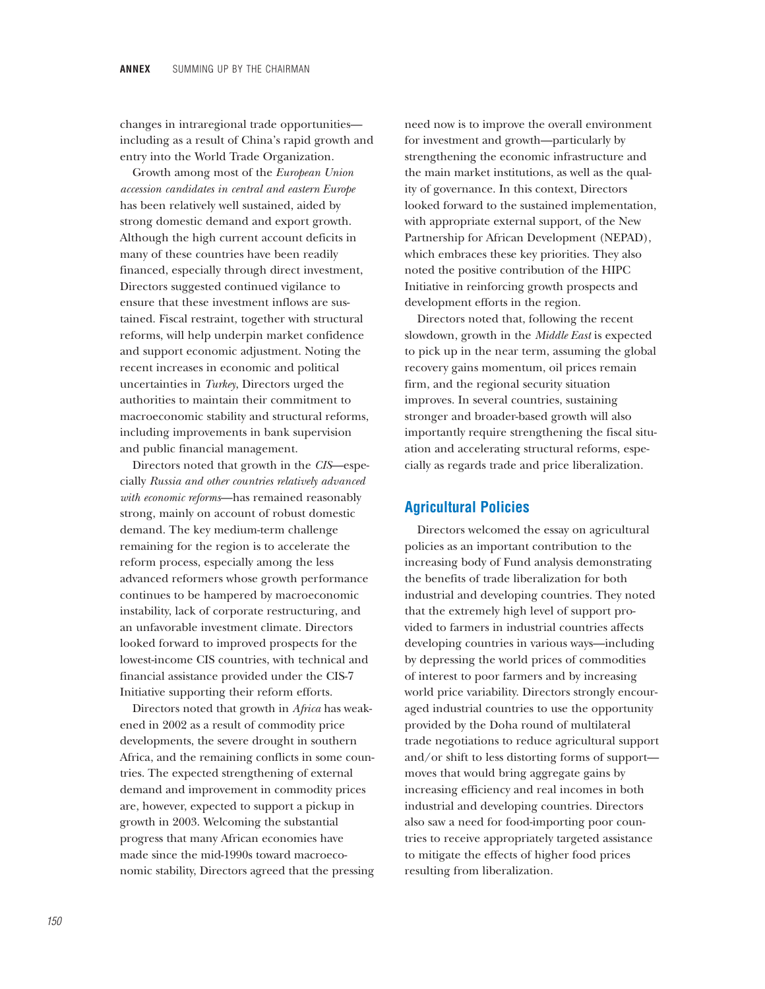changes in intraregional trade opportunities including as a result of China's rapid growth and entry into the World Trade Organization.

Growth among most of the *European Union accession candidates in central and eastern Europe* has been relatively well sustained, aided by strong domestic demand and export growth. Although the high current account deficits in many of these countries have been readily financed, especially through direct investment, Directors suggested continued vigilance to ensure that these investment inflows are sustained. Fiscal restraint, together with structural reforms, will help underpin market confidence and support economic adjustment. Noting the recent increases in economic and political uncertainties in *Turkey*, Directors urged the authorities to maintain their commitment to macroeconomic stability and structural reforms, including improvements in bank supervision and public financial management.

Directors noted that growth in the *CIS*—especially *Russia and other countries relatively advanced with economic reforms*—has remained reasonably strong, mainly on account of robust domestic demand. The key medium-term challenge remaining for the region is to accelerate the reform process, especially among the less advanced reformers whose growth performance continues to be hampered by macroeconomic instability, lack of corporate restructuring, and an unfavorable investment climate. Directors looked forward to improved prospects for the lowest-income CIS countries, with technical and financial assistance provided under the CIS-7 Initiative supporting their reform efforts.

Directors noted that growth in *Africa* has weakened in 2002 as a result of commodity price developments, the severe drought in southern Africa, and the remaining conflicts in some countries. The expected strengthening of external demand and improvement in commodity prices are, however, expected to support a pickup in growth in 2003. Welcoming the substantial progress that many African economies have made since the mid-1990s toward macroeconomic stability, Directors agreed that the pressing

need now is to improve the overall environment for investment and growth—particularly by strengthening the economic infrastructure and the main market institutions, as well as the quality of governance. In this context, Directors looked forward to the sustained implementation, with appropriate external support, of the New Partnership for African Development (NEPAD), which embraces these key priorities. They also noted the positive contribution of the HIPC Initiative in reinforcing growth prospects and development efforts in the region.

Directors noted that, following the recent slowdown, growth in the *Middle East* is expected to pick up in the near term, assuming the global recovery gains momentum, oil prices remain firm, and the regional security situation improves. In several countries, sustaining stronger and broader-based growth will also importantly require strengthening the fiscal situation and accelerating structural reforms, especially as regards trade and price liberalization.

### **Agricultural Policies**

Directors welcomed the essay on agricultural policies as an important contribution to the increasing body of Fund analysis demonstrating the benefits of trade liberalization for both industrial and developing countries. They noted that the extremely high level of support provided to farmers in industrial countries affects developing countries in various ways—including by depressing the world prices of commodities of interest to poor farmers and by increasing world price variability. Directors strongly encouraged industrial countries to use the opportunity provided by the Doha round of multilateral trade negotiations to reduce agricultural support and/or shift to less distorting forms of support moves that would bring aggregate gains by increasing efficiency and real incomes in both industrial and developing countries. Directors also saw a need for food-importing poor countries to receive appropriately targeted assistance to mitigate the effects of higher food prices resulting from liberalization.